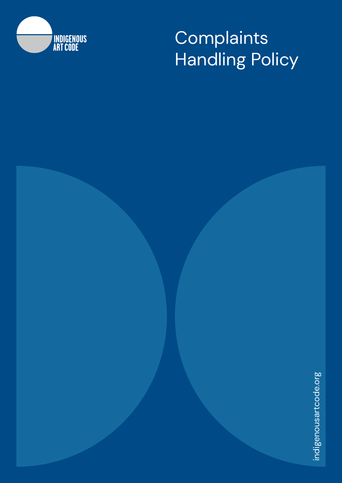

# **Complaints** Handling Policy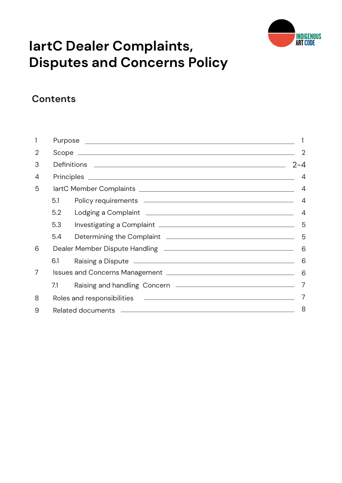

# **IartC Dealer Complaints, Disputes and Concerns Policy**

# **Contents**

| 1              |     |                                                                                                                                                                                                                                      |                |  |
|----------------|-----|--------------------------------------------------------------------------------------------------------------------------------------------------------------------------------------------------------------------------------------|----------------|--|
| $\overline{2}$ |     |                                                                                                                                                                                                                                      |                |  |
| 3              |     |                                                                                                                                                                                                                                      |                |  |
| 4              |     |                                                                                                                                                                                                                                      | $\overline{4}$ |  |
| 5              |     |                                                                                                                                                                                                                                      | 4              |  |
|                | 5.1 |                                                                                                                                                                                                                                      | 4              |  |
|                | 5.2 |                                                                                                                                                                                                                                      | 4              |  |
|                | 5.3 |                                                                                                                                                                                                                                      | 5              |  |
|                | 5.4 | Determining the Complaint <b>contract of the Complaint Complaint Complaint Complaint Complaint Complaint Complaint Complaint Complaint Complaint Complaint Complaint Complaint Complaint Complaint</b>                               | 5              |  |
| 6              |     |                                                                                                                                                                                                                                      | 6              |  |
|                | 6.1 | Raising a Dispute <u>experience and the set of the set of the set of the set of the set of the set of the set of the set of the set of the set of the set of the set of the set of the set of the set of the set of the set of t</u> | 6              |  |
| 7              |     |                                                                                                                                                                                                                                      |                |  |
|                | 7.1 |                                                                                                                                                                                                                                      |                |  |
| 8              |     |                                                                                                                                                                                                                                      |                |  |
| 9              | 8   |                                                                                                                                                                                                                                      |                |  |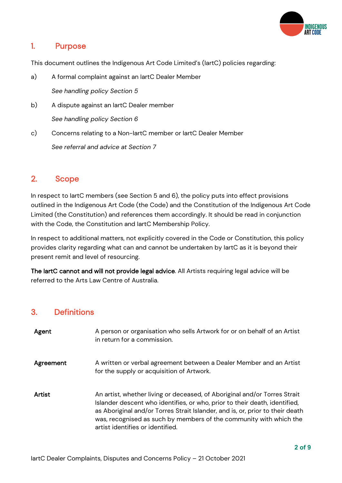

# 1. Purpose

This document outlines the Indigenous Art Code Limited's (IartC) policies regarding:

- a) A formal complaint against an IartC Dealer Member *See handling policy Section 5*
- b) A dispute against an IartC Dealer member *See handling policy Section 6*
- c) Concerns relating to a Non-IartC member or IartC Dealer Member *See referral and advice at Section 7*

# 2. Scope

In respect to IartC members (see Section 5 and 6), the policy puts into effect provisions outlined in the Indigenous Art Code (the Code) and the Constitution of the Indigenous Art Code Limited (the Constitution) and references them accordingly. It should be read in conjunction with the Code, the Constitution and IartC Membership Policy.

In respect to additional matters, not explicitly covered in the Code or Constitution, this policy provides clarity regarding what can and cannot be undertaken by IartC as it is beyond their present remit and level of resourcing.

The IartC cannot and will not provide legal advice. All Artists requiring legal advice will be referred to the Arts Law Centre of Australia.

# 3. Definitions

| Agent         | A person or organisation who sells Artwork for or on behalf of an Artist<br>in return for a commission.                                                                                                                                                                                                                                            |
|---------------|----------------------------------------------------------------------------------------------------------------------------------------------------------------------------------------------------------------------------------------------------------------------------------------------------------------------------------------------------|
| Agreement     | A written or verbal agreement between a Dealer Member and an Artist<br>for the supply or acquisition of Artwork.                                                                                                                                                                                                                                   |
| <b>Artist</b> | An artist, whether living or deceased, of Aboriginal and/or Torres Strait<br>Islander descent who identifies, or who, prior to their death, identified,<br>as Aboriginal and/or Torres Strait Islander, and is, or, prior to their death<br>was, recognised as such by members of the community with which the<br>artist identifies or identified. |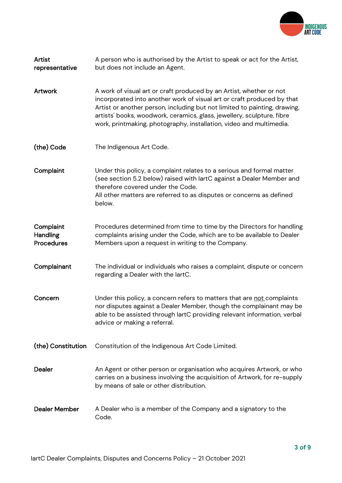

| <b>Artist</b><br>representative                   | A person who is authorised by the Artist to speak or act for the Artist,<br>but does not include an Agent.                                                                                                                                                                                                                                                                  |
|---------------------------------------------------|-----------------------------------------------------------------------------------------------------------------------------------------------------------------------------------------------------------------------------------------------------------------------------------------------------------------------------------------------------------------------------|
| <b>Artwork</b>                                    | A work of visual art or craft produced by an Artist, whether or not<br>incorporated into another work of visual art or craft produced by that<br>Artist or another person, including but not limited to painting, drawing,<br>artists' books, woodwork, ceramics, glass, jewellery, sculpture, fibre<br>work, printmaking, photography, installation, video and multimedia. |
| (the) Code                                        | The Indigenous Art Code.                                                                                                                                                                                                                                                                                                                                                    |
| Complaint                                         | Under this policy, a complaint relates to a serious and formal matter<br>(see section 5.2 below) raised with lartC against a Dealer Member and<br>therefore covered under the Code.<br>All other matters are referred to as disputes or concerns as defined<br>below.                                                                                                       |
| Complaint<br><b>Handling</b><br><b>Procedures</b> | Procedures determined from time to time by the Directors for handling<br>complaints arising under the Code, which are to be available to Dealer<br>Members upon a request in writing to the Company.                                                                                                                                                                        |
| Complainant                                       | The individual or individuals who raises a complaint, dispute or concern<br>regarding a Dealer with the lartC.                                                                                                                                                                                                                                                              |
| Concern                                           | Under this policy, a concern refers to matters that are not complaints<br>nor disputes against a Dealer Member, though the complainant may be<br>able to be assisted through lartC providing relevant information, verbal<br>advice or making a referral.                                                                                                                   |
| (the) Constitution                                | Constitution of the Indigenous Art Code Limited.                                                                                                                                                                                                                                                                                                                            |
| <b>Dealer</b>                                     | An Agent or other person or organisation who acquires Artwork, or who<br>carries on a business involving the acquisition of Artwork, for re-supply<br>by means of sale or other distribution.                                                                                                                                                                               |
| <b>Dealer Member</b>                              | A Dealer who is a member of the Company and a signatory to the<br>Code.                                                                                                                                                                                                                                                                                                     |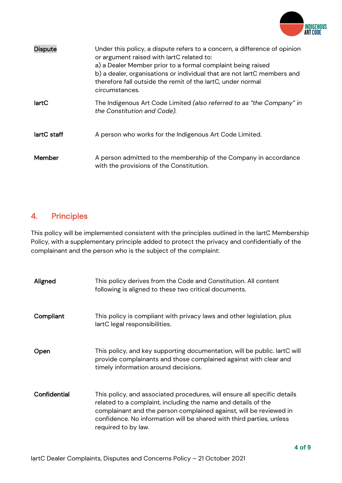

| <b>Dispute</b> | Under this policy, a dispute refers to a concern, a difference of opinion<br>or argument raised with lartC related to:<br>a) a Dealer Member prior to a formal complaint being raised<br>b) a dealer, organisations or individual that are not lartC members and<br>therefore fall outside the remit of the lartC, under normal<br>circumstances. |
|----------------|---------------------------------------------------------------------------------------------------------------------------------------------------------------------------------------------------------------------------------------------------------------------------------------------------------------------------------------------------|
| lartC          | The Indigenous Art Code Limited (also referred to as "the Company" in<br>the Constitution and Code).                                                                                                                                                                                                                                              |
| lartC staff    | A person who works for the Indigenous Art Code Limited.                                                                                                                                                                                                                                                                                           |
| Member         | A person admitted to the membership of the Company in accordance<br>with the provisions of the Constitution.                                                                                                                                                                                                                                      |

# 4. Principles

This policy will be implemented consistent with the principles outlined in the IartC Membership Policy, with a supplementary principle added to protect the privacy and confidentially of the complainant and the person who is the subject of the complaint:

| Aligned      | This policy derives from the Code and Constitution. All content<br>following is aligned to these two critical documents.                                                                                                                                                                                       |
|--------------|----------------------------------------------------------------------------------------------------------------------------------------------------------------------------------------------------------------------------------------------------------------------------------------------------------------|
| Compliant    | This policy is compliant with privacy laws and other legislation, plus<br>lartC legal responsibilities.                                                                                                                                                                                                        |
| Open         | This policy, and key supporting documentation, will be public. lartC will<br>provide complainants and those complained against with clear and<br>timely information around decisions.                                                                                                                          |
| Confidential | This policy, and associated procedures, will ensure all specific details<br>related to a complaint, including the name and details of the<br>complainant and the person complained against, will be reviewed in<br>confidence. No information will be shared with third parties, unless<br>required to by law. |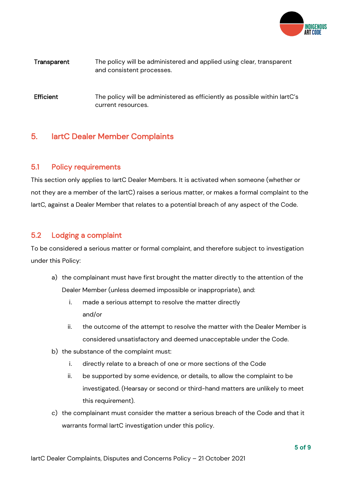

#### Transparent The policy will be administered and applied using clear, transparent and consistent processes.

Efficient The policy will be administered as efficiently as possible within lartC's current resources.

# 5. IartC Dealer Member Complaints

#### 5.1 Policy requirements

This section only applies to IartC Dealer Members. It is activated when someone (whether or not they are a member of the IartC) raises a serious matter, or makes a formal complaint to the IartC, against a Dealer Member that relates to a potential breach of any aspect of the Code.

#### 5.2 Lodging a complaint

To be considered a serious matter or formal complaint, and therefore subject to investigation under this Policy:

- a) the complainant must have first brought the matter directly to the attention of the Dealer Member (unless deemed impossible or inappropriate), and:
	- i. made a serious attempt to resolve the matter directly and/or
	- ii. the outcome of the attempt to resolve the matter with the Dealer Member is considered unsatisfactory and deemed unacceptable under the Code.
- b) the substance of the complaint must:
	- i. directly relate to a breach of one or more sections of the Code
	- ii. be supported by some evidence, or details, to allow the complaint to be investigated. (Hearsay or second or third-hand matters are unlikely to meet this requirement).
- c) the complainant must consider the matter a serious breach of the Code and that it warrants formal IartC investigation under this policy.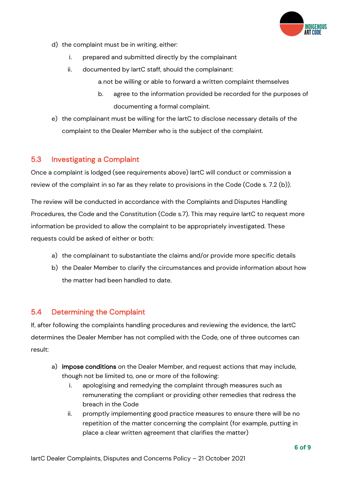

- d) the complaint must be in writing, either:
	- i. prepared and submitted directly by the complainant
	- ii. documented by IartC staff, should the complainant:
		- a.not be willing or able to forward a written complaint themselves
		- b. agree to the information provided be recorded for the purposes of documenting a formal complaint.
- e) the complainant must be willing for the IartC to disclose necessary details of the complaint to the Dealer Member who is the subject of the complaint.

#### 5.3 Investigating a Complaint

Once a complaint is lodged (see requirements above) IartC will conduct or commission a review of the complaint in so far as they relate to provisions in the Code (Code s. 7.2 (b)).

The review will be conducted in accordance with the Complaints and Disputes Handling Procedures, the Code and the Constitution (Code s.7). This may require IartC to request more information be provided to allow the complaint to be appropriately investigated. These requests could be asked of either or both:

- a) the complainant to substantiate the claims and/or provide more specific details
- b) the Dealer Member to clarify the circumstances and provide information about how the matter had been handled to date.

#### 5.4 Determining the Complaint

If, after following the complaints handling procedures and reviewing the evidence, the IartC determines the Dealer Member has not complied with the Code, one of three outcomes can result:

- a) impose conditions on the Dealer Member, and request actions that may include, though not be limited to, one or more of the following:
	- i. apologising and remedying the complaint through measures such as remunerating the compliant or providing other remedies that redress the breach in the Code
	- ii. promptly implementing good practice measures to ensure there will be no repetition of the matter concerning the complaint (for example, putting in place a clear written agreement that clarifies the matter)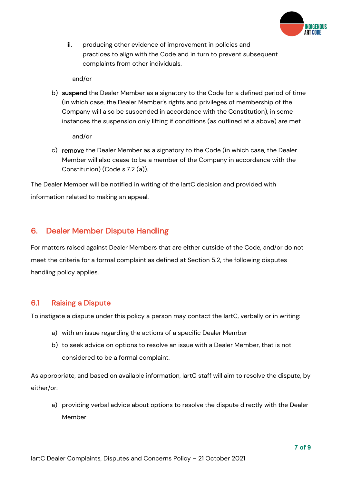

iii. producing other evidence of improvement in policies and practices to align with the Code and in turn to prevent subsequent complaints from other individuals.

and/or

b) suspend the Dealer Member as a signatory to the Code for a defined period of time (in which case, the Dealer Member's rights and privileges of membership of the Company will also be suspended in accordance with the Constitution), in some instances the suspension only lifting if conditions (as outlined at a above) are met

and/or

c) remove the Dealer Member as a signatory to the Code (in which case, the Dealer Member will also cease to be a member of the Company in accordance with the Constitution) (Code s.7.2 (a)).

The Dealer Member will be notified in writing of the IartC decision and provided with information related to making an appeal.

# 6. Dealer Member Dispute Handling

For matters raised against Dealer Members that are either outside of the Code, and/or do not meet the criteria for a formal complaint as defined at Section 5.2, the following disputes handling policy applies.

#### 6.1 Raising a Dispute

To instigate a dispute under this policy a person may contact the IartC, verbally or in writing:

- a) with an issue regarding the actions of a specific Dealer Member
- b) to seek advice on options to resolve an issue with a Dealer Member, that is not considered to be a formal complaint.

As appropriate, and based on available information, IartC staff will aim to resolve the dispute, by either/or:

a) providing verbal advice about options to resolve the dispute directly with the Dealer Member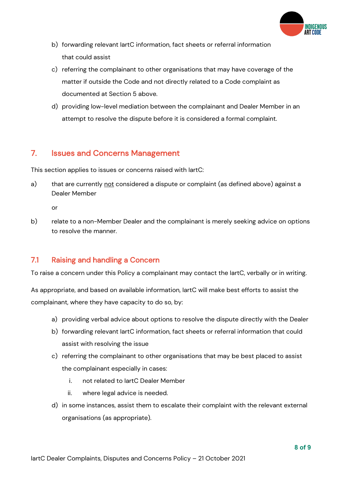

- b) forwarding relevant IartC information, fact sheets or referral information that could assist
- c) referring the complainant to other organisations that may have coverage of the matter if outside the Code and not directly related to a Code complaint as documented at Section 5 above.
- d) providing low-level mediation between the complainant and Dealer Member in an attempt to resolve the dispute before it is considered a formal complaint.

# 7. Issues and Concerns Management

This section applies to issues or concerns raised with IartC:

a) that are currently not considered a dispute or complaint (as defined above) against a Dealer Member

or

b) relate to a non-Member Dealer and the complainant is merely seeking advice on options to resolve the manner.

#### 7.1 Raising and handling a Concern

To raise a concern under this Policy a complainant may contact the IartC, verbally or in writing.

As appropriate, and based on available information, IartC will make best efforts to assist the complainant, where they have capacity to do so, by:

- a) providing verbal advice about options to resolve the dispute directly with the Dealer
- b) forwarding relevant IartC information, fact sheets or referral information that could assist with resolving the issue
- c) referring the complainant to other organisations that may be best placed to assist the complainant especially in cases:
	- i. not related to IartC Dealer Member
	- ii. where legal advice is needed.
- d) in some instances, assist them to escalate their complaint with the relevant external organisations (as appropriate).